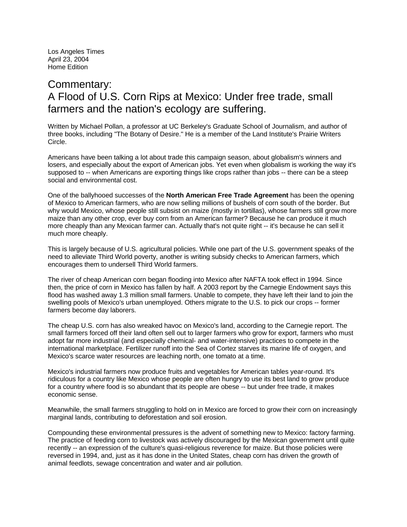Los Angeles Times April 23, 2004 Home Edition

## Commentary: A Flood of U.S. Corn Rips at Mexico: Under free trade, small farmers and the nation's ecology are suffering.

Written by Michael Pollan, a professor at UC Berkeley's Graduate School of Journalism, and author of three books, including "The Botany of Desire." He is a member of the Land Institute's Prairie Writers Circle.

Americans have been talking a lot about trade this campaign season, about globalism's winners and losers, and especially about the export of American jobs. Yet even when globalism is working the way it's supposed to -- when Americans are exporting things like crops rather than jobs -- there can be a steep social and environmental cost.

One of the ballyhooed successes of the **North American Free Trade Agreement** has been the opening of Mexico to American farmers, who are now selling millions of bushels of corn south of the border. But why would Mexico, whose people still subsist on maize (mostly in tortillas), whose farmers still grow more maize than any other crop, ever buy corn from an American farmer? Because he can produce it much more cheaply than any Mexican farmer can. Actually that's not quite right -- it's because he can sell it much more cheaply.

This is largely because of U.S. agricultural policies. While one part of the U.S. government speaks of the need to alleviate Third World poverty, another is writing subsidy checks to American farmers, which encourages them to undersell Third World farmers.

The river of cheap American corn began flooding into Mexico after NAFTA took effect in 1994. Since then, the price of corn in Mexico has fallen by half. A 2003 report by the Carnegie Endowment says this flood has washed away 1.3 million small farmers. Unable to compete, they have left their land to join the swelling pools of Mexico's urban unemployed. Others migrate to the U.S. to pick our crops -- former farmers become day laborers.

The cheap U.S. corn has also wreaked havoc on Mexico's land, according to the Carnegie report. The small farmers forced off their land often sell out to larger farmers who grow for export, farmers who must adopt far more industrial (and especially chemical- and water-intensive) practices to compete in the international marketplace. Fertilizer runoff into the Sea of Cortez starves its marine life of oxygen, and Mexico's scarce water resources are leaching north, one tomato at a time.

Mexico's industrial farmers now produce fruits and vegetables for American tables year-round. It's ridiculous for a country like Mexico whose people are often hungry to use its best land to grow produce for a country where food is so abundant that its people are obese -- but under free trade, it makes economic sense.

Meanwhile, the small farmers struggling to hold on in Mexico are forced to grow their corn on increasingly marginal lands, contributing to deforestation and soil erosion.

Compounding these environmental pressures is the advent of something new to Mexico: factory farming. The practice of feeding corn to livestock was actively discouraged by the Mexican government until quite recently -- an expression of the culture's quasi-religious reverence for maize. But those policies were reversed in 1994, and, just as it has done in the United States, cheap corn has driven the growth of animal feedlots, sewage concentration and water and air pollution.